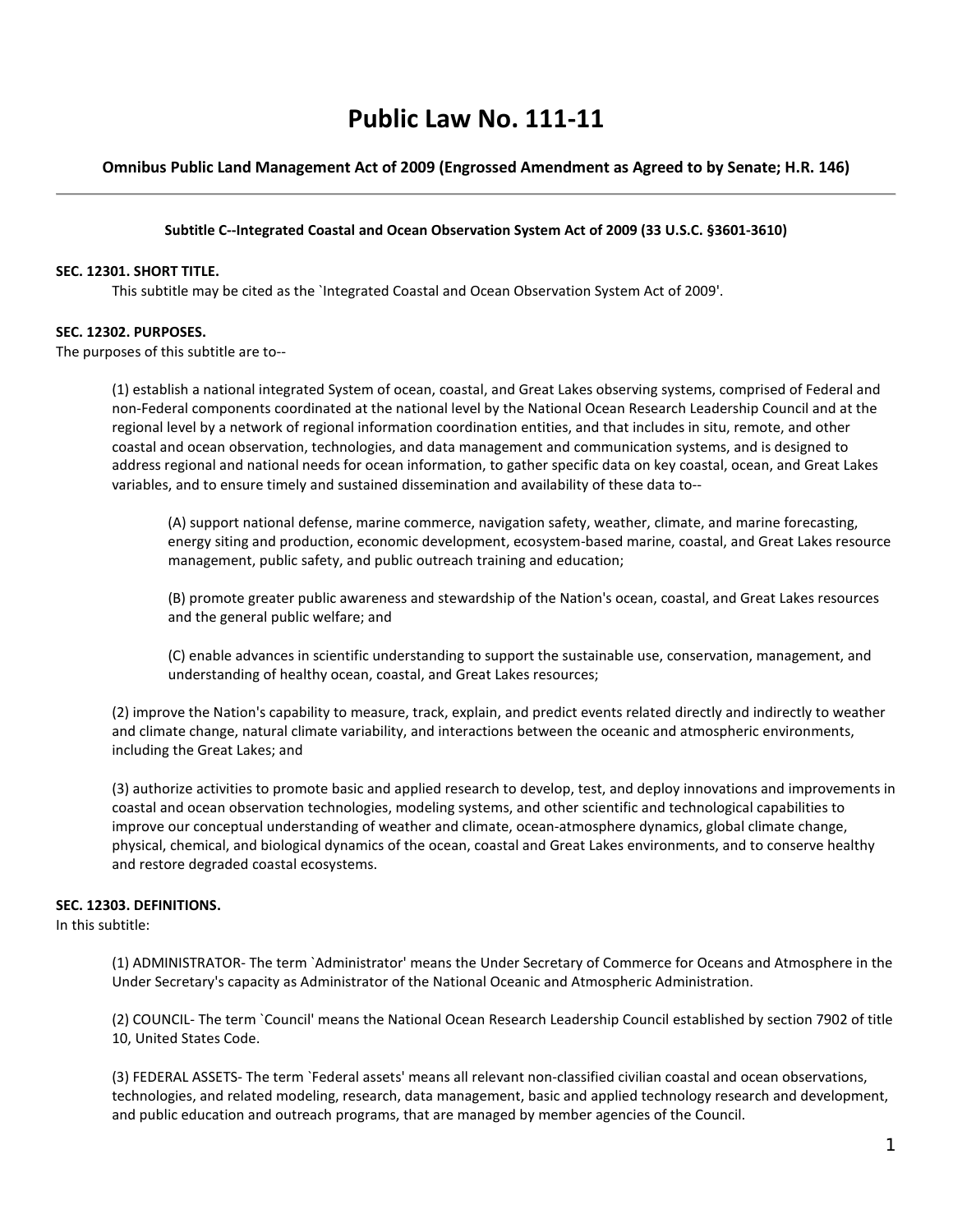# **Public Law No. 111-11**

# **Omnibus Public Land Management Act of 2009 (Engrossed Amendment as Agreed to by Senate; H.R. 146)**

#### **Subtitle C--Integrated Coastal and Ocean Observation System Act of 2009 (33 U.S.C. §3601-3610)**

#### **SEC. 12301. SHORT TITLE.**

This subtitle may be cited as the `Integrated Coastal and Ocean Observation System Act of 2009'.

#### **SEC. 12302. PURPOSES.**

The purposes of this subtitle are to--

(1) establish a national integrated System of ocean, coastal, and Great Lakes observing systems, comprised of Federal and non-Federal components coordinated at the national level by the National Ocean Research Leadership Council and at the regional level by a network of regional information coordination entities, and that includes in situ, remote, and other coastal and ocean observation, technologies, and data management and communication systems, and is designed to address regional and national needs for ocean information, to gather specific data on key coastal, ocean, and Great Lakes variables, and to ensure timely and sustained dissemination and availability of these data to--

(A) support national defense, marine commerce, navigation safety, weather, climate, and marine forecasting, energy siting and production, economic development, ecosystem-based marine, coastal, and Great Lakes resource management, public safety, and public outreach training and education;

(B) promote greater public awareness and stewardship of the Nation's ocean, coastal, and Great Lakes resources and the general public welfare; and

(C) enable advances in scientific understanding to support the sustainable use, conservation, management, and understanding of healthy ocean, coastal, and Great Lakes resources;

(2) improve the Nation's capability to measure, track, explain, and predict events related directly and indirectly to weather and climate change, natural climate variability, and interactions between the oceanic and atmospheric environments, including the Great Lakes; and

(3) authorize activities to promote basic and applied research to develop, test, and deploy innovations and improvements in coastal and ocean observation technologies, modeling systems, and other scientific and technological capabilities to improve our conceptual understanding of weather and climate, ocean-atmosphere dynamics, global climate change, physical, chemical, and biological dynamics of the ocean, coastal and Great Lakes environments, and to conserve healthy and restore degraded coastal ecosystems.

## **SEC. 12303. DEFINITIONS.**

In this subtitle:

(1) ADMINISTRATOR- The term `Administrator' means the Under Secretary of Commerce for Oceans and Atmosphere in the Under Secretary's capacity as Administrator of the National Oceanic and Atmospheric Administration.

(2) COUNCIL- The term `Council' means the National Ocean Research Leadership Council established by section 7902 of title 10, United States Code.

(3) FEDERAL ASSETS- The term `Federal assets' means all relevant non-classified civilian coastal and ocean observations, technologies, and related modeling, research, data management, basic and applied technology research and development, and public education and outreach programs, that are managed by member agencies of the Council.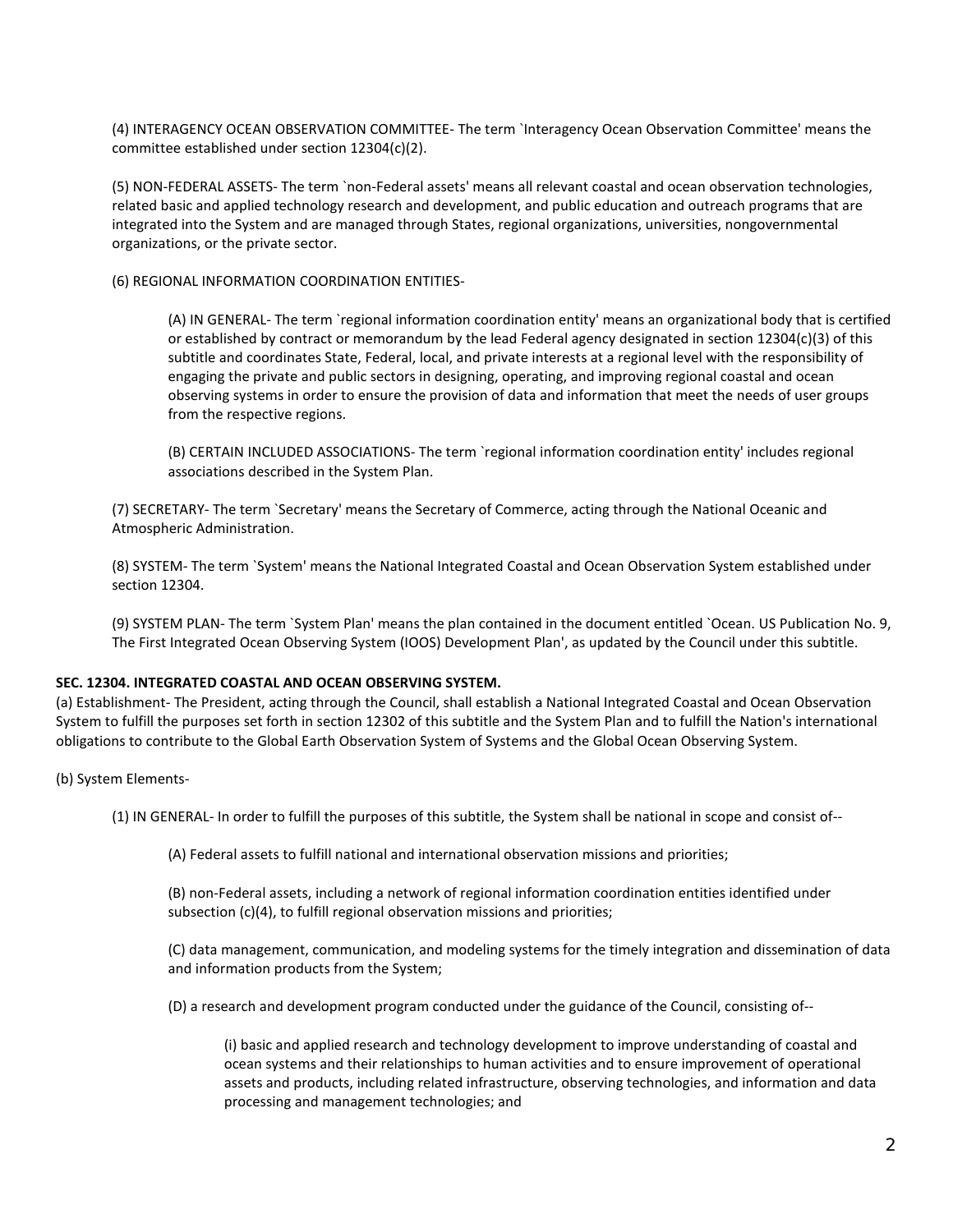(4) INTERAGENCY OCEAN OBSERVATION COMMITTEE- The term `Interagency Ocean Observation Committee' means the committee established under section 12304(c)(2).

(5) NON-FEDERAL ASSETS- The term `non-Federal assets' means all relevant coastal and ocean observation technologies, related basic and applied technology research and development, and public education and outreach programs that are integrated into the System and are managed through States, regional organizations, universities, nongovernmental organizations, or the private sector.

(6) REGIONAL INFORMATION COORDINATION ENTITIES-

(A) IN GENERAL- The term `regional information coordination entity' means an organizational body that is certified or established by contract or memorandum by the lead Federal agency designated in section 12304(c)(3) of this subtitle and coordinates State, Federal, local, and private interests at a regional level with the responsibility of engaging the private and public sectors in designing, operating, and improving regional coastal and ocean observing systems in order to ensure the provision of data and information that meet the needs of user groups from the respective regions.

(B) CERTAIN INCLUDED ASSOCIATIONS- The term `regional information coordination entity' includes regional associations described in the System Plan.

(7) SECRETARY- The term `Secretary' means the Secretary of Commerce, acting through the National Oceanic and Atmospheric Administration.

(8) SYSTEM- The term `System' means the National Integrated Coastal and Ocean Observation System established under section 12304.

(9) SYSTEM PLAN- The term `System Plan' means the plan contained in the document entitled `Ocean. US Publication No. 9, The First Integrated Ocean Observing System (IOOS) Development Plan', as updated by the Council under this subtitle.

## **SEC. 12304. INTEGRATED COASTAL AND OCEAN OBSERVING SYSTEM.**

(a) Establishment- The President, acting through the Council, shall establish a National Integrated Coastal and Ocean Observation System to fulfill the purposes set forth in section 12302 of this subtitle and the System Plan and to fulfill the Nation's international obligations to contribute to the Global Earth Observation System of Systems and the Global Ocean Observing System.

(b) System Elements-

(1) IN GENERAL- In order to fulfill the purposes of this subtitle, the System shall be national in scope and consist of--

(A) Federal assets to fulfill national and international observation missions and priorities;

(B) non-Federal assets, including a network of regional information coordination entities identified under subsection (c)(4), to fulfill regional observation missions and priorities;

(C) data management, communication, and modeling systems for the timely integration and dissemination of data and information products from the System;

(D) a research and development program conducted under the guidance of the Council, consisting of--

(i) basic and applied research and technology development to improve understanding of coastal and ocean systems and their relationships to human activities and to ensure improvement of operational assets and products, including related infrastructure, observing technologies, and information and data processing and management technologies; and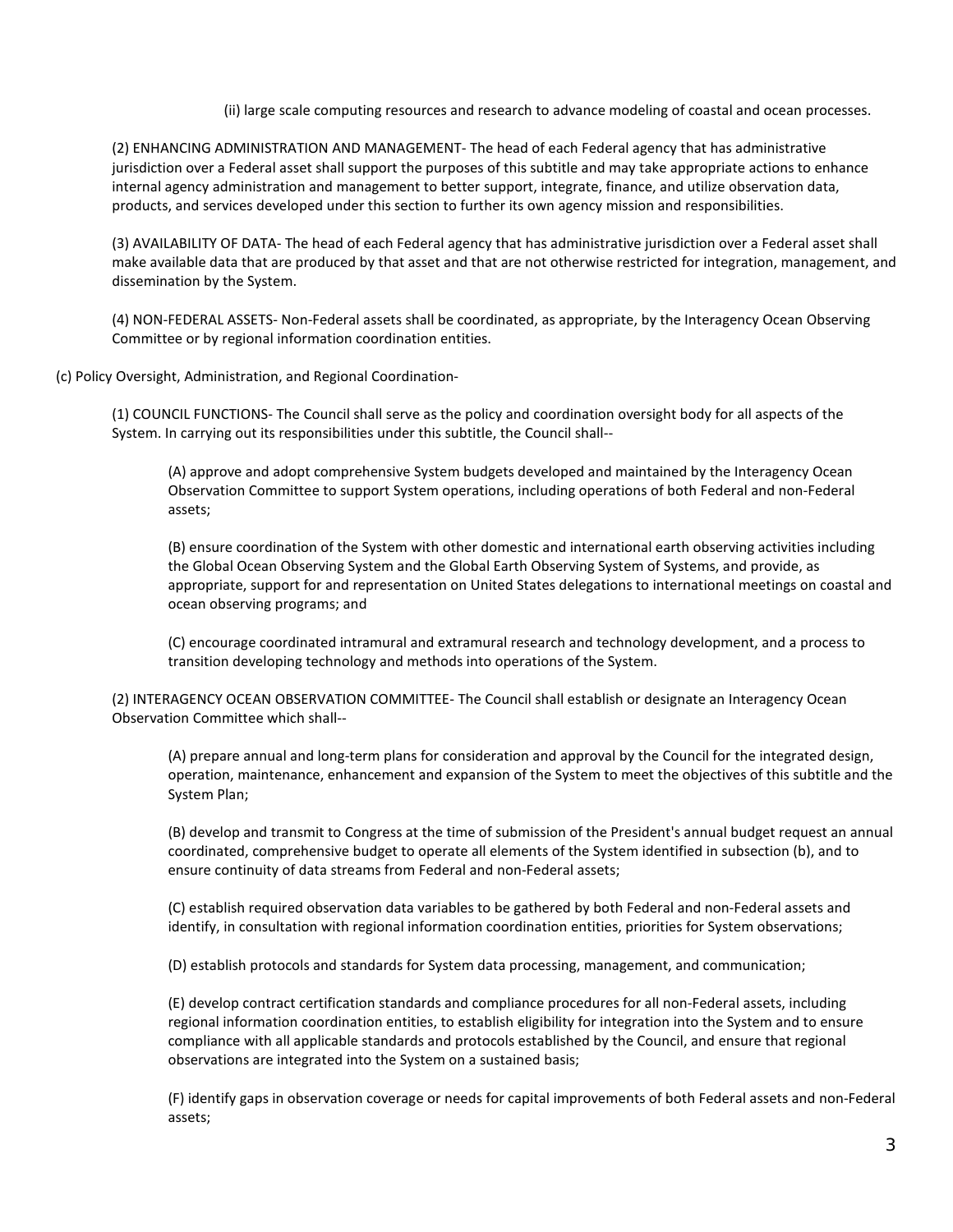(ii) large scale computing resources and research to advance modeling of coastal and ocean processes.

(2) ENHANCING ADMINISTRATION AND MANAGEMENT- The head of each Federal agency that has administrative jurisdiction over a Federal asset shall support the purposes of this subtitle and may take appropriate actions to enhance internal agency administration and management to better support, integrate, finance, and utilize observation data, products, and services developed under this section to further its own agency mission and responsibilities.

(3) AVAILABILITY OF DATA- The head of each Federal agency that has administrative jurisdiction over a Federal asset shall make available data that are produced by that asset and that are not otherwise restricted for integration, management, and dissemination by the System.

(4) NON-FEDERAL ASSETS- Non-Federal assets shall be coordinated, as appropriate, by the Interagency Ocean Observing Committee or by regional information coordination entities.

(c) Policy Oversight, Administration, and Regional Coordination-

(1) COUNCIL FUNCTIONS- The Council shall serve as the policy and coordination oversight body for all aspects of the System. In carrying out its responsibilities under this subtitle, the Council shall--

(A) approve and adopt comprehensive System budgets developed and maintained by the Interagency Ocean Observation Committee to support System operations, including operations of both Federal and non-Federal assets;

(B) ensure coordination of the System with other domestic and international earth observing activities including the Global Ocean Observing System and the Global Earth Observing System of Systems, and provide, as appropriate, support for and representation on United States delegations to international meetings on coastal and ocean observing programs; and

(C) encourage coordinated intramural and extramural research and technology development, and a process to transition developing technology and methods into operations of the System.

(2) INTERAGENCY OCEAN OBSERVATION COMMITTEE- The Council shall establish or designate an Interagency Ocean Observation Committee which shall--

(A) prepare annual and long-term plans for consideration and approval by the Council for the integrated design, operation, maintenance, enhancement and expansion of the System to meet the objectives of this subtitle and the System Plan;

(B) develop and transmit to Congress at the time of submission of the President's annual budget request an annual coordinated, comprehensive budget to operate all elements of the System identified in subsection (b), and to ensure continuity of data streams from Federal and non-Federal assets;

(C) establish required observation data variables to be gathered by both Federal and non-Federal assets and identify, in consultation with regional information coordination entities, priorities for System observations;

(D) establish protocols and standards for System data processing, management, and communication;

(E) develop contract certification standards and compliance procedures for all non-Federal assets, including regional information coordination entities, to establish eligibility for integration into the System and to ensure compliance with all applicable standards and protocols established by the Council, and ensure that regional observations are integrated into the System on a sustained basis;

(F) identify gaps in observation coverage or needs for capital improvements of both Federal assets and non-Federal assets;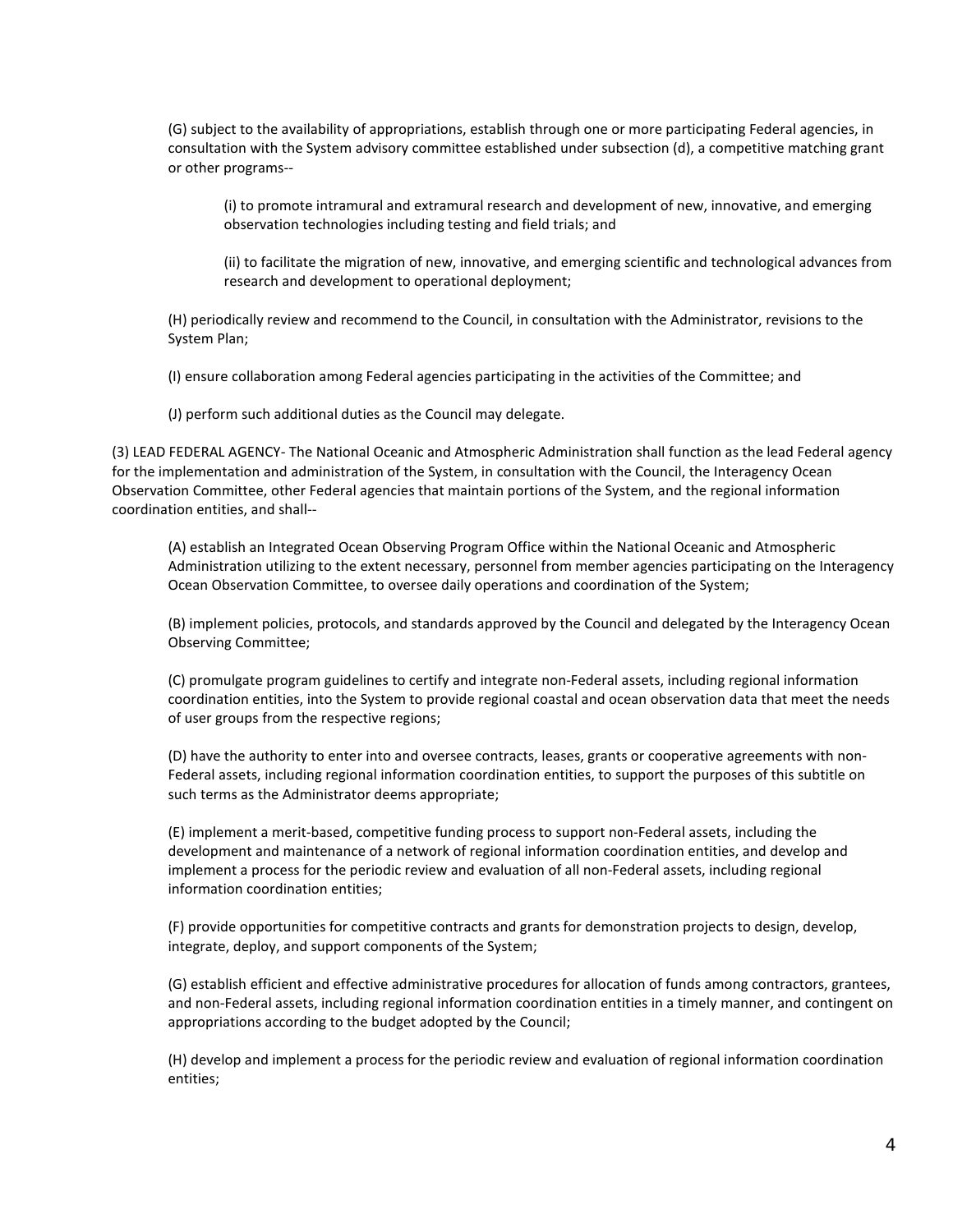(G) subject to the availability of appropriations, establish through one or more participating Federal agencies, in consultation with the System advisory committee established under subsection (d), a competitive matching grant or other programs--

(i) to promote intramural and extramural research and development of new, innovative, and emerging observation technologies including testing and field trials; and

(ii) to facilitate the migration of new, innovative, and emerging scientific and technological advances from research and development to operational deployment;

(H) periodically review and recommend to the Council, in consultation with the Administrator, revisions to the System Plan;

(I) ensure collaboration among Federal agencies participating in the activities of the Committee; and

(J) perform such additional duties as the Council may delegate.

(3) LEAD FEDERAL AGENCY- The National Oceanic and Atmospheric Administration shall function as the lead Federal agency for the implementation and administration of the System, in consultation with the Council, the Interagency Ocean Observation Committee, other Federal agencies that maintain portions of the System, and the regional information coordination entities, and shall--

(A) establish an Integrated Ocean Observing Program Office within the National Oceanic and Atmospheric Administration utilizing to the extent necessary, personnel from member agencies participating on the Interagency Ocean Observation Committee, to oversee daily operations and coordination of the System;

(B) implement policies, protocols, and standards approved by the Council and delegated by the Interagency Ocean Observing Committee;

(C) promulgate program guidelines to certify and integrate non-Federal assets, including regional information coordination entities, into the System to provide regional coastal and ocean observation data that meet the needs of user groups from the respective regions;

(D) have the authority to enter into and oversee contracts, leases, grants or cooperative agreements with non-Federal assets, including regional information coordination entities, to support the purposes of this subtitle on such terms as the Administrator deems appropriate;

(E) implement a merit-based, competitive funding process to support non-Federal assets, including the development and maintenance of a network of regional information coordination entities, and develop and implement a process for the periodic review and evaluation of all non-Federal assets, including regional information coordination entities;

(F) provide opportunities for competitive contracts and grants for demonstration projects to design, develop, integrate, deploy, and support components of the System;

(G) establish efficient and effective administrative procedures for allocation of funds among contractors, grantees, and non-Federal assets, including regional information coordination entities in a timely manner, and contingent on appropriations according to the budget adopted by the Council;

(H) develop and implement a process for the periodic review and evaluation of regional information coordination entities;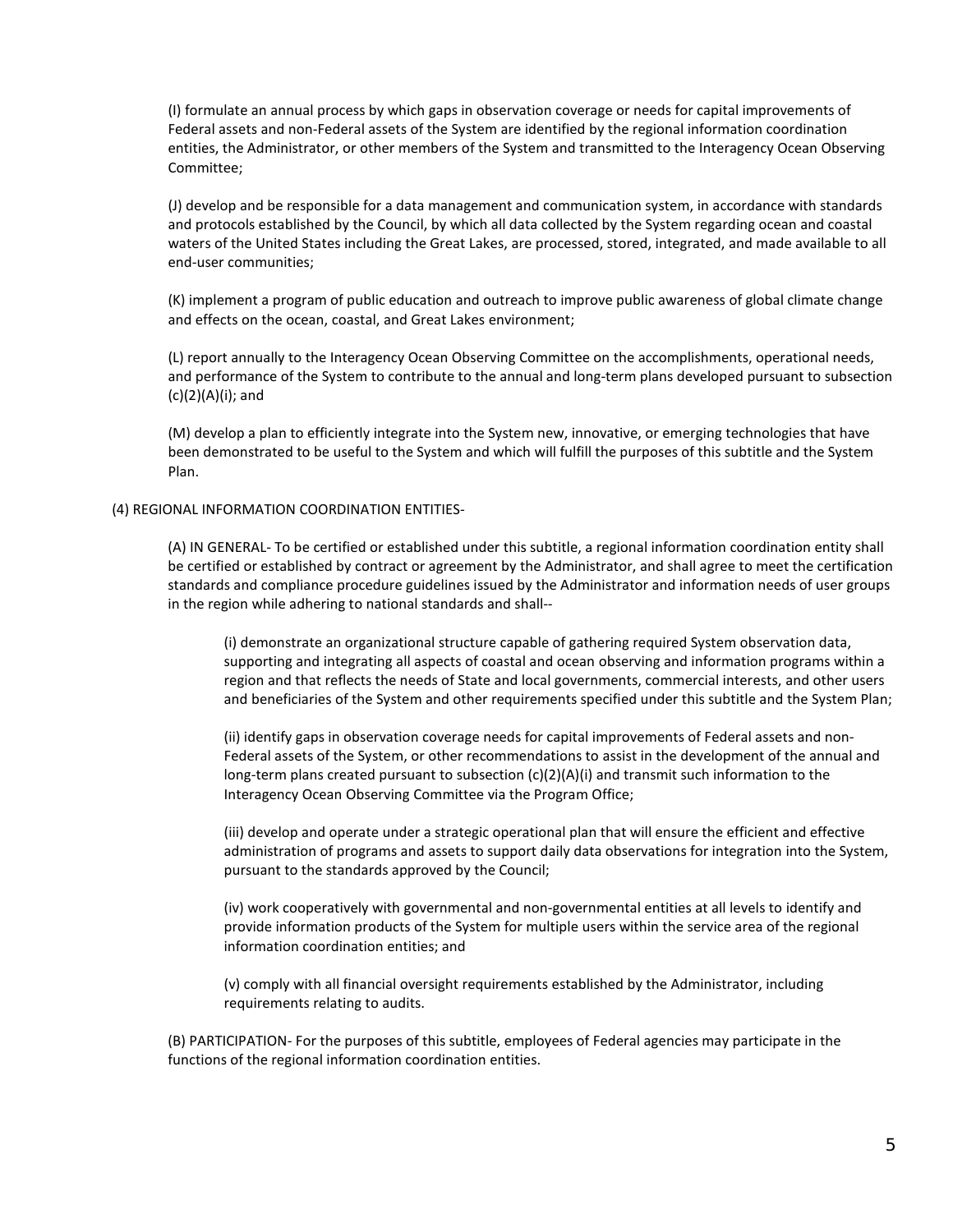(I) formulate an annual process by which gaps in observation coverage or needs for capital improvements of Federal assets and non-Federal assets of the System are identified by the regional information coordination entities, the Administrator, or other members of the System and transmitted to the Interagency Ocean Observing Committee;

(J) develop and be responsible for a data management and communication system, in accordance with standards and protocols established by the Council, by which all data collected by the System regarding ocean and coastal waters of the United States including the Great Lakes, are processed, stored, integrated, and made available to all end-user communities;

(K) implement a program of public education and outreach to improve public awareness of global climate change and effects on the ocean, coastal, and Great Lakes environment;

(L) report annually to the Interagency Ocean Observing Committee on the accomplishments, operational needs, and performance of the System to contribute to the annual and long-term plans developed pursuant to subsection (c)(2)(A)(i); and

(M) develop a plan to efficiently integrate into the System new, innovative, or emerging technologies that have been demonstrated to be useful to the System and which will fulfill the purposes of this subtitle and the System Plan.

#### (4) REGIONAL INFORMATION COORDINATION ENTITIES-

(A) IN GENERAL- To be certified or established under this subtitle, a regional information coordination entity shall be certified or established by contract or agreement by the Administrator, and shall agree to meet the certification standards and compliance procedure guidelines issued by the Administrator and information needs of user groups in the region while adhering to national standards and shall--

(i) demonstrate an organizational structure capable of gathering required System observation data, supporting and integrating all aspects of coastal and ocean observing and information programs within a region and that reflects the needs of State and local governments, commercial interests, and other users and beneficiaries of the System and other requirements specified under this subtitle and the System Plan;

(ii) identify gaps in observation coverage needs for capital improvements of Federal assets and non-Federal assets of the System, or other recommendations to assist in the development of the annual and long-term plans created pursuant to subsection  $(c)(2)(A)(i)$  and transmit such information to the Interagency Ocean Observing Committee via the Program Office;

(iii) develop and operate under a strategic operational plan that will ensure the efficient and effective administration of programs and assets to support daily data observations for integration into the System, pursuant to the standards approved by the Council;

(iv) work cooperatively with governmental and non-governmental entities at all levels to identify and provide information products of the System for multiple users within the service area of the regional information coordination entities; and

(v) comply with all financial oversight requirements established by the Administrator, including requirements relating to audits.

(B) PARTICIPATION- For the purposes of this subtitle, employees of Federal agencies may participate in the functions of the regional information coordination entities.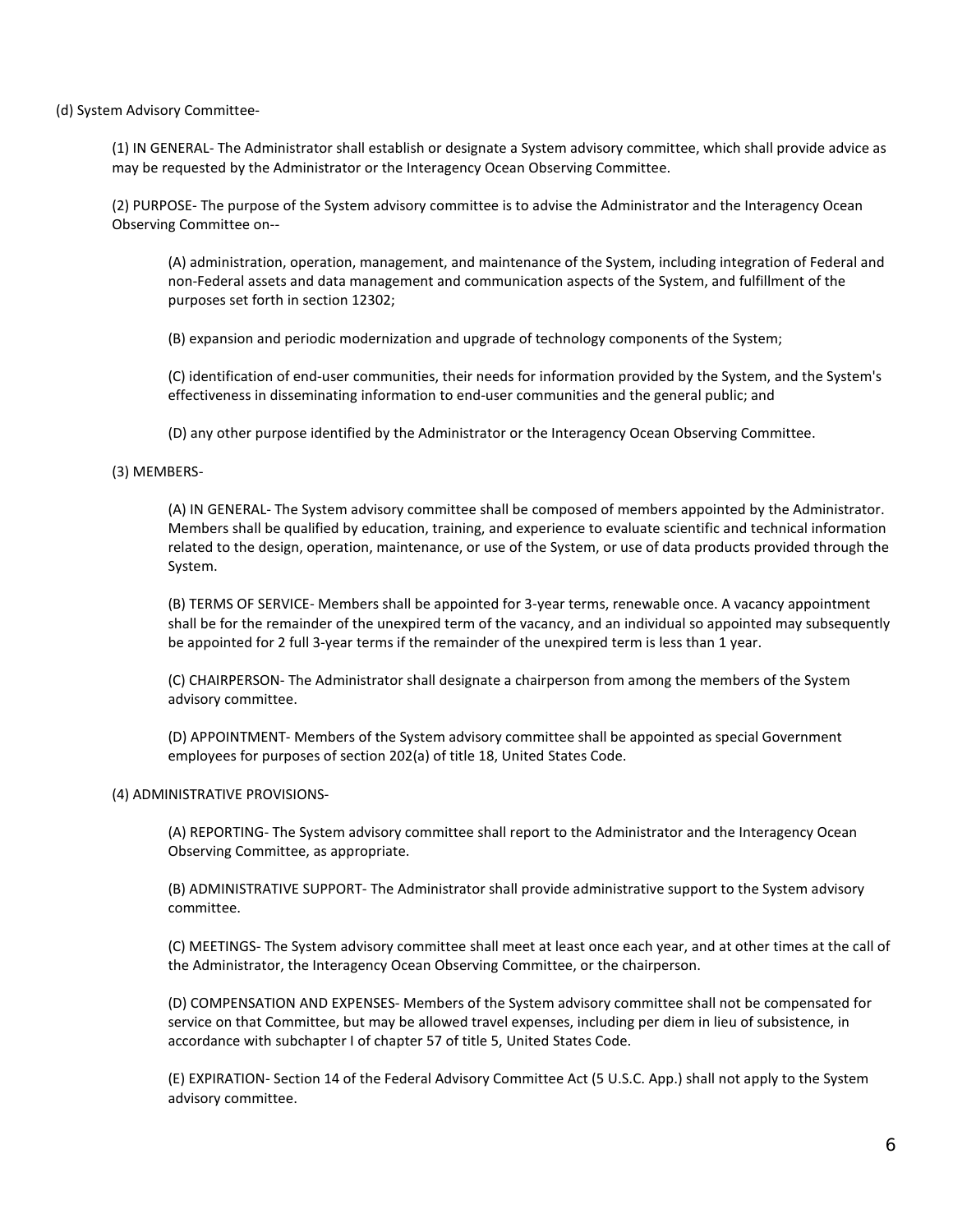(d) System Advisory Committee-

(1) IN GENERAL- The Administrator shall establish or designate a System advisory committee, which shall provide advice as may be requested by the Administrator or the Interagency Ocean Observing Committee.

(2) PURPOSE- The purpose of the System advisory committee is to advise the Administrator and the Interagency Ocean Observing Committee on--

(A) administration, operation, management, and maintenance of the System, including integration of Federal and non-Federal assets and data management and communication aspects of the System, and fulfillment of the purposes set forth in section 12302;

(B) expansion and periodic modernization and upgrade of technology components of the System;

(C) identification of end-user communities, their needs for information provided by the System, and the System's effectiveness in disseminating information to end-user communities and the general public; and

(D) any other purpose identified by the Administrator or the Interagency Ocean Observing Committee.

#### (3) MEMBERS-

(A) IN GENERAL- The System advisory committee shall be composed of members appointed by the Administrator. Members shall be qualified by education, training, and experience to evaluate scientific and technical information related to the design, operation, maintenance, or use of the System, or use of data products provided through the System.

(B) TERMS OF SERVICE- Members shall be appointed for 3-year terms, renewable once. A vacancy appointment shall be for the remainder of the unexpired term of the vacancy, and an individual so appointed may subsequently be appointed for 2 full 3-year terms if the remainder of the unexpired term is less than 1 year.

(C) CHAIRPERSON- The Administrator shall designate a chairperson from among the members of the System advisory committee.

(D) APPOINTMENT- Members of the System advisory committee shall be appointed as special Government employees for purposes of section 202(a) of title 18, United States Code.

## (4) ADMINISTRATIVE PROVISIONS-

(A) REPORTING- The System advisory committee shall report to the Administrator and the Interagency Ocean Observing Committee, as appropriate.

(B) ADMINISTRATIVE SUPPORT- The Administrator shall provide administrative support to the System advisory committee.

(C) MEETINGS- The System advisory committee shall meet at least once each year, and at other times at the call of the Administrator, the Interagency Ocean Observing Committee, or the chairperson.

(D) COMPENSATION AND EXPENSES- Members of the System advisory committee shall not be compensated for service on that Committee, but may be allowed travel expenses, including per diem in lieu of subsistence, in accordance with subchapter I of chapter 57 of title 5, United States Code.

(E) EXPIRATION- Section 14 of the Federal Advisory Committee Act (5 U.S.C. App.) shall not apply to the System advisory committee.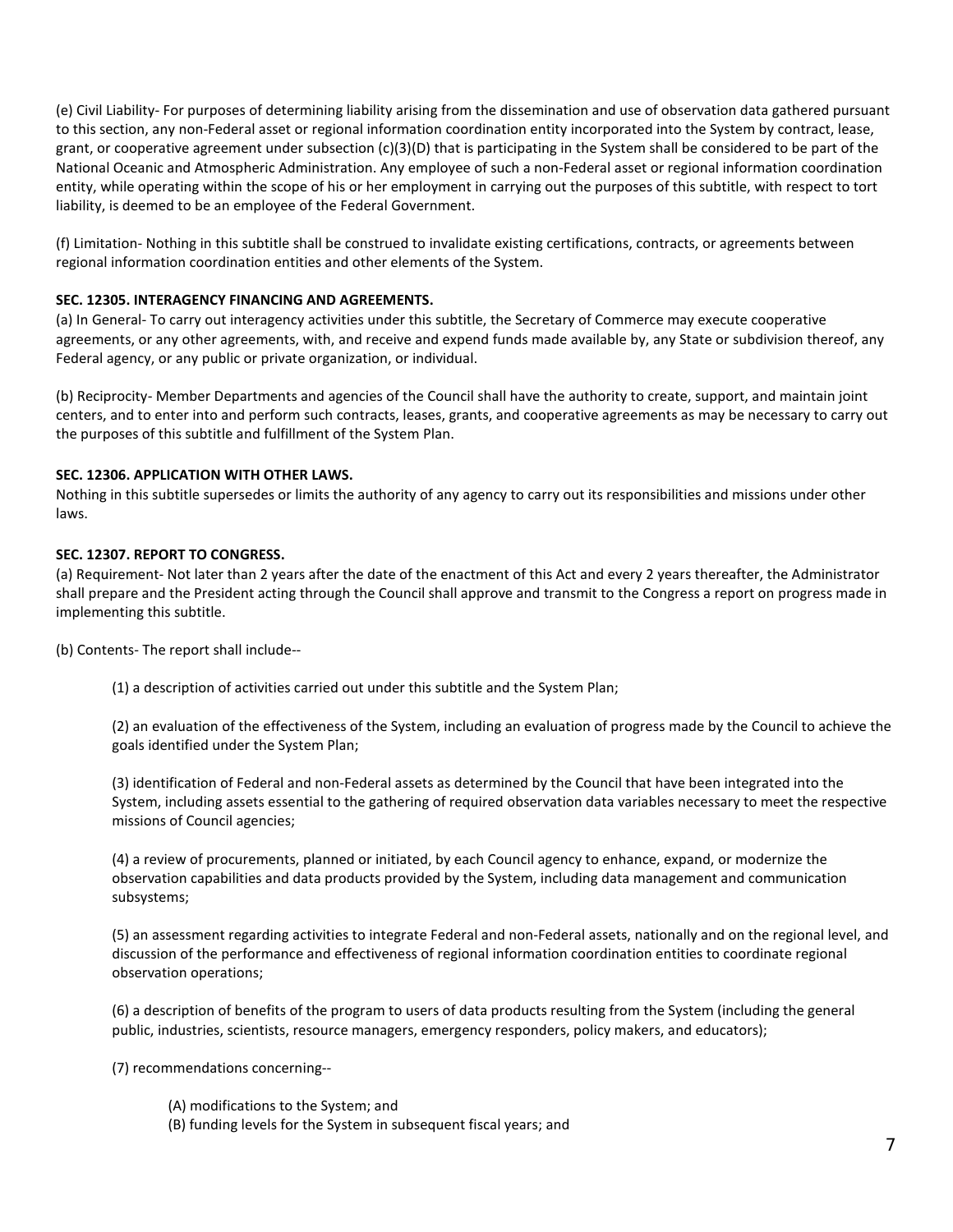(e) Civil Liability- For purposes of determining liability arising from the dissemination and use of observation data gathered pursuant to this section, any non-Federal asset or regional information coordination entity incorporated into the System by contract, lease, grant, or cooperative agreement under subsection (c)(3)(D) that is participating in the System shall be considered to be part of the National Oceanic and Atmospheric Administration. Any employee of such a non-Federal asset or regional information coordination entity, while operating within the scope of his or her employment in carrying out the purposes of this subtitle, with respect to tort liability, is deemed to be an employee of the Federal Government.

(f) Limitation- Nothing in this subtitle shall be construed to invalidate existing certifications, contracts, or agreements between regional information coordination entities and other elements of the System.

## **SEC. 12305. INTERAGENCY FINANCING AND AGREEMENTS.**

(a) In General- To carry out interagency activities under this subtitle, the Secretary of Commerce may execute cooperative agreements, or any other agreements, with, and receive and expend funds made available by, any State or subdivision thereof, any Federal agency, or any public or private organization, or individual.

(b) Reciprocity- Member Departments and agencies of the Council shall have the authority to create, support, and maintain joint centers, and to enter into and perform such contracts, leases, grants, and cooperative agreements as may be necessary to carry out the purposes of this subtitle and fulfillment of the System Plan.

# **SEC. 12306. APPLICATION WITH OTHER LAWS.**

Nothing in this subtitle supersedes or limits the authority of any agency to carry out its responsibilities and missions under other laws.

# **SEC. 12307. REPORT TO CONGRESS.**

(a) Requirement- Not later than 2 years after the date of the enactment of this Act and every 2 years thereafter, the Administrator shall prepare and the President acting through the Council shall approve and transmit to the Congress a report on progress made in implementing this subtitle.

(b) Contents- The report shall include--

(1) a description of activities carried out under this subtitle and the System Plan;

(2) an evaluation of the effectiveness of the System, including an evaluation of progress made by the Council to achieve the goals identified under the System Plan;

(3) identification of Federal and non-Federal assets as determined by the Council that have been integrated into the System, including assets essential to the gathering of required observation data variables necessary to meet the respective missions of Council agencies;

(4) a review of procurements, planned or initiated, by each Council agency to enhance, expand, or modernize the observation capabilities and data products provided by the System, including data management and communication subsystems;

(5) an assessment regarding activities to integrate Federal and non-Federal assets, nationally and on the regional level, and discussion of the performance and effectiveness of regional information coordination entities to coordinate regional observation operations;

(6) a description of benefits of the program to users of data products resulting from the System (including the general public, industries, scientists, resource managers, emergency responders, policy makers, and educators);

(7) recommendations concerning--

- (A) modifications to the System; and
- (B) funding levels for the System in subsequent fiscal years; and